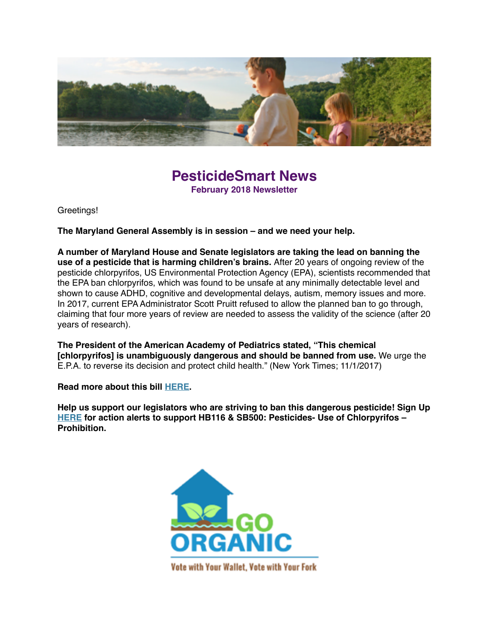

## **PesticideSmart News February 2018 Newsletter**

Greetings!

**The Maryland General Assembly is in session – and we need your help.**

**A number of Maryland House and Senate legislators are taking the lead on banning the use of a pesticide that is harming children's brains.** After 20 years of ongoing review of the pesticide chlorpyrifos, US Environmental Protection Agency (EPA), scientists recommended that the EPA ban chlorpyrifos, which was found to be unsafe at any minimally detectable level and shown to cause ADHD, cognitive and developmental delays, autism, memory issues and more. In 2017, current EPA Administrator Scott Pruitt refused to allow the planned ban to go through, claiming that four more years of review are needed to assess the validity of the science (after 20 years of research).

**The President of the American Academy of Pediatrics stated, "This chemical [chlorpyrifos] is unambiguously dangerous and should be banned from use.** We urge the E.P.A. to reverse its decision and protect child health." (New York Times; 11/1/2017)

**Read more about this bill [HERE](https://mdpestnet.us12.list-manage.com/track/click?u=dcf08b5ef315f2faae2ed89b7&id=5c6d1b6fac&e=f5232c3d36).**

**Help us support our legislators who are striving to ban this dangerous pesticide! Sign Up [HERE](https://mdpestnet.us12.list-manage.com/track/click?u=dcf08b5ef315f2faae2ed89b7&id=0ff8f52667&e=f5232c3d36) for action alerts to support HB116 & SB500: Pesticides- Use of Chlorpyrifos – Prohibition.**

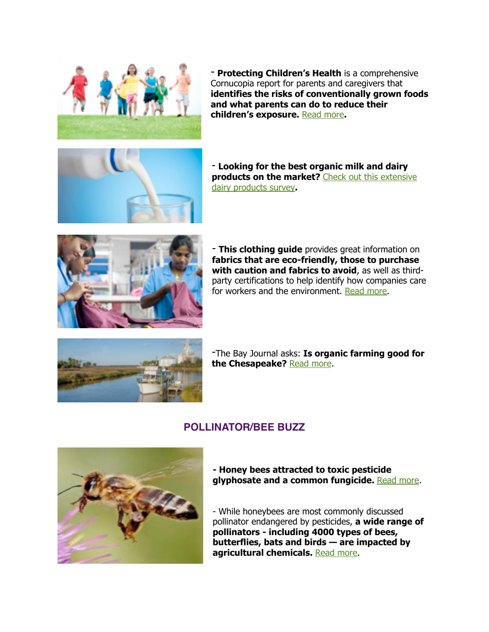

- **Protecting Children's Health** is a comprehensive Cornucopia report for parents and caregivers that **identifies the risks of conventionally grown foods and what parents can do to reduce their children's exposure.** [Read more](https://mdpestnet.us12.list-manage.com/track/click?u=dcf08b5ef315f2faae2ed89b7&id=ce15d02fba&e=f5232c3d36)**.**



- **Looking for the best organic milk and dairy [products on the market?](https://mdpestnet.us12.list-manage.com/track/click?u=dcf08b5ef315f2faae2ed89b7&id=ebbcf0c743&e=f5232c3d36)** Check out this extensive dairy products survey**.**



- **This clothing guide** provides great information on **fabrics that are eco-friendly, those to purchase with caution and fabrics to avoid**, as well as thirdparty certifications to help identify how companies care for workers and the environment. [Read more.](https://mdpestnet.us12.list-manage.com/track/click?u=dcf08b5ef315f2faae2ed89b7&id=607bc7edfe&e=f5232c3d36)



-The Bay Journal asks: **Is organic farming good for the Chesapeake?** [Read more](https://mdpestnet.us12.list-manage.com/track/click?u=dcf08b5ef315f2faae2ed89b7&id=045baedec4&e=f5232c3d36).

#### **POLLINATOR/BEE BUZZ**



**- Honey bees attracted to toxic pesticide glyphosate and a common fungicide.** [Read more.](https://mdpestnet.us12.list-manage.com/track/click?u=dcf08b5ef315f2faae2ed89b7&id=400c4de658&e=f5232c3d36)

- While honeybees are most commonly discussed pollinator endangered by pesticides, **a wide range of pollinators - including 4000 types of bees, butterflies, bats and birds — are impacted by agricultural chemicals.** [Read more.](https://mdpestnet.us12.list-manage.com/track/click?u=dcf08b5ef315f2faae2ed89b7&id=c49aab7977&e=f5232c3d36)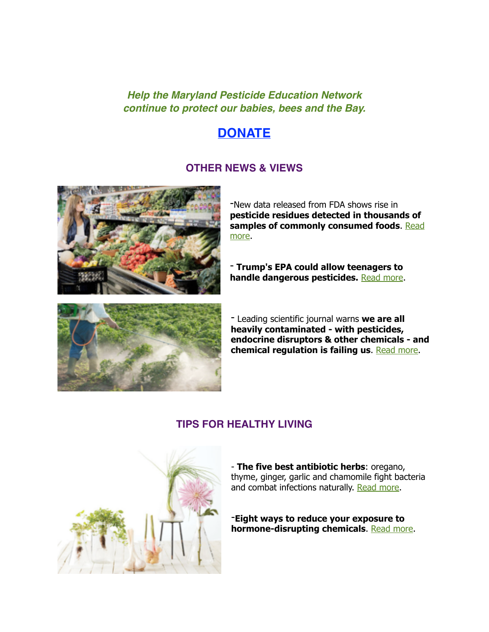#### *Help the Maryland Pesticide Education Network continue to protect our babies, bees and the Bay.*

# **[DONATE](https://mdpestnet.us12.list-manage.com/track/click?u=dcf08b5ef315f2faae2ed89b7&id=73bd163a9c&e=f5232c3d36)**

#### **OTHER NEWS & VIEWS**



-New data released from FDA shows rise in **pesticide residues detected in thousands of [samples of commonly consumed foods](https://mdpestnet.us12.list-manage.com/track/click?u=dcf08b5ef315f2faae2ed89b7&id=5a44180a3c&e=f5232c3d36)**. Read more.

- **Trump's EPA could allow teenagers to handle dangerous pesticides.** [Read more.](https://mdpestnet.us12.list-manage.com/track/click?u=dcf08b5ef315f2faae2ed89b7&id=c65ec0d0dd&e=f5232c3d36)



- Leading scientific journal warns **we are all heavily contaminated - with pesticides, endocrine disruptors & other chemicals - and chemical regulation is failing us**. [Read more.](https://mdpestnet.us12.list-manage.com/track/click?u=dcf08b5ef315f2faae2ed89b7&id=6cd4159c0d&e=f5232c3d36)

### **TIPS FOR HEALTHY LIVING**



- **The five best antibiotic herbs**: oregano, thyme, ginger, garlic and chamomile fight bacteria and combat infections naturally. [Read more.](https://mdpestnet.us12.list-manage.com/track/click?u=dcf08b5ef315f2faae2ed89b7&id=2a1bb92064&e=f5232c3d36)

-**Eight ways to reduce your exposure to hormone-disrupting chemicals**. [Read more](https://mdpestnet.us12.list-manage.com/track/click?u=dcf08b5ef315f2faae2ed89b7&id=a522b2fda5&e=f5232c3d36).